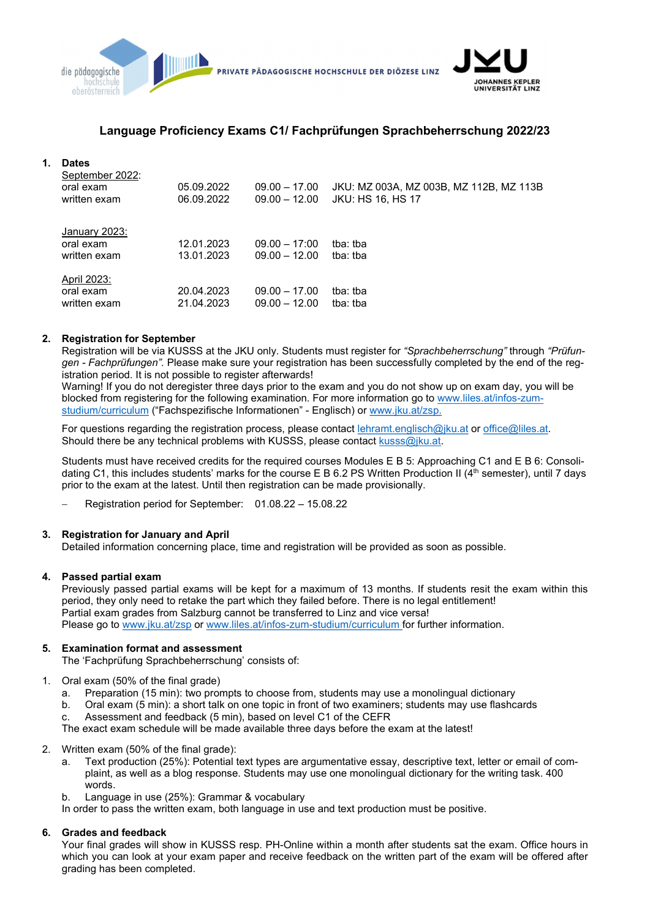

# Language Proficiency Exams C1/ Fachprüfungen Sprachbeherrschung 2022/23

## 1. Dates

| September 2022:<br>oral exam<br>written exam | 05.09.2022<br>06.09.2022 | $09.00 - 17.00$<br>$09.00 - 12.00$ | JKU: MZ 003A, MZ 003B, MZ 112B, MZ 113B<br><b>JKU: HS 16, HS 17</b> |
|----------------------------------------------|--------------------------|------------------------------------|---------------------------------------------------------------------|
| January 2023:<br>oral exam<br>written exam   | 12.01.2023<br>13.01.2023 | $09.00 - 17:00$<br>$09.00 - 12.00$ | tha: tha<br>tba: tba                                                |
| April 2023:<br>oral exam<br>written exam     | 20.04.2023<br>21.04.2023 | $09.00 - 17.00$<br>$09.00 - 12.00$ | tba: tba<br>tba: tba                                                |

### 2. Registration for September

Registration will be via KUSSS at the JKU only. Students must register for "Sprachbeherrschung" through "Prüfungen - Fachprüfungen". Please make sure your registration has been successfully completed by the end of the registration period. It is not possible to register afterwards!

Warning! If you do not deregister three days prior to the exam and you do not show up on exam day, you will be blocked from registering for the following examination. For more information go to www.liles.at/infos-zumstudium/curriculum ("Fachspezifische Informationen" - Englisch) or www.jku.at/zsp.

For questions regarding the registration process, please contact lehramt.englisch@jku.at or office@liles.at. Should there be any technical problems with KUSSS, please contact kusss@jku.at.

Students must have received credits for the required courses Modules E B 5: Approaching C1 and E B 6: Consolidating C1, this includes students' marks for the course E B 6.2 PS Written Production II (4<sup>th</sup> semester), until 7 days prior to the exam at the latest. Until then registration can be made provisionally.

Registration period for September: 01.08.22 – 15.08.22

### 3. Registration for January and April

Detailed information concerning place, time and registration will be provided as soon as possible.

### 4. Passed partial exam

Previously passed partial exams will be kept for a maximum of 13 months. If students resit the exam within this period, they only need to retake the part which they failed before. There is no legal entitlement! Partial exam grades from Salzburg cannot be transferred to Linz and vice versa! Please go to www.jku.at/zsp or www.liles.at/infos-zum-studium/curriculum for further information.

## 5. Examination format and assessment

The 'Fachprüfung Sprachbeherrschung' consists of:

- 1. Oral exam (50% of the final grade)
	- a. Preparation (15 min): two prompts to choose from, students may use a monolingual dictionary
	- b. Oral exam (5 min): a short talk on one topic in front of two examiners; students may use flashcards
	- c. Assessment and feedback (5 min), based on level C1 of the CEFR

The exact exam schedule will be made available three days before the exam at the latest!

- 2. Written exam (50% of the final grade):
	- a. Text production (25%): Potential text types are argumentative essay, descriptive text, letter or email of complaint, as well as a blog response. Students may use one monolingual dictionary for the writing task. 400 words.
	- b. Language in use (25%): Grammar & vocabulary

In order to pass the written exam, both language in use and text production must be positive.

### 6. Grades and feedback

Your final grades will show in KUSSS resp. PH-Online within a month after students sat the exam. Office hours in which you can look at your exam paper and receive feedback on the written part of the exam will be offered after grading has been completed.